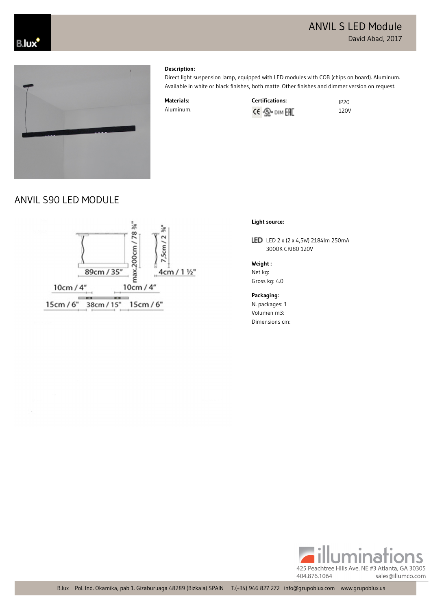# ANVIL S LED Module David Abad, 2017





### **Description:**

Direct light suspension lamp, equipped with LED modules with COB (chips on board). Aluminum. Available in white or black finishes, both matte. Other finishes and dimmer version on request.

**Materials:** Aluminum.



120V





## **Light source:**

LED LED 2 x (2 x 4,5W) 2184Im 250mA 3000K CRI80 120V

**Weight :**

Net kg: Gross kg: 4.0

**Packaging:** N. packages: 1 Volumen m3: Dimensions cm:

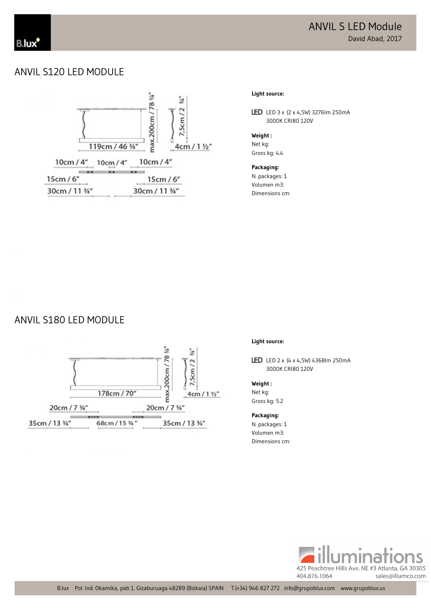# ANVIL S120 LED MODULE



#### **Light source:**

LED LED 3 x (2 x 4,5W) 3276lm 250mA 3000K CRI80 120V

#### **Weight :**

Net kg: Gross kg: 4.4 

**Packaging:** N. packages: 1 Volumen m3: Dimensions cm:

## ANVIL S180 LED MODULE



#### **Light source:**

LED LED 2 x (4 x 4,5W) 4368Im 250mA 3000K CRI80 120V

#### **Weight :** Net kg:

Gross kg: 5.2 

## **Packaging:**

N. packages: 1 Volumen m3: Dimensions cm: